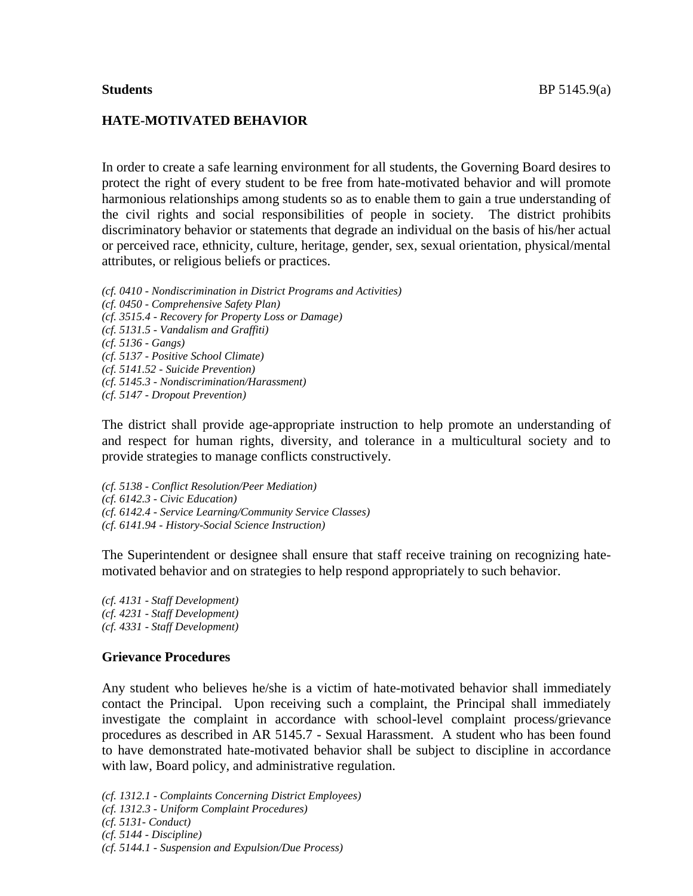## **HATE-MOTIVATED BEHAVIOR**

In order to create a safe learning environment for all students, the Governing Board desires to protect the right of every student to be free from hate-motivated behavior and will promote harmonious relationships among students so as to enable them to gain a true understanding of the civil rights and social responsibilities of people in society. The district prohibits discriminatory behavior or statements that degrade an individual on the basis of his/her actual or perceived race, ethnicity, culture, heritage, gender, sex, sexual orientation, physical/mental attributes, or religious beliefs or practices.

*(cf. 0410 - Nondiscrimination in District Programs and Activities) (cf. 0450 - Comprehensive Safety Plan) (cf. 3515.4 - Recovery for Property Loss or Damage) (cf. 5131.5 - Vandalism and Graffiti) (cf. 5136 - Gangs) (cf. 5137 - Positive School Climate) (cf. 5141.52 - Suicide Prevention) (cf. 5145.3 - Nondiscrimination/Harassment) (cf. 5147 - Dropout Prevention)*

The district shall provide age-appropriate instruction to help promote an understanding of and respect for human rights, diversity, and tolerance in a multicultural society and to provide strategies to manage conflicts constructively.

*(cf. 5138 - Conflict Resolution/Peer Mediation) (cf. 6142.3 - Civic Education) (cf. 6142.4 - Service Learning/Community Service Classes) (cf. 6141.94 - History-Social Science Instruction)*

The Superintendent or designee shall ensure that staff receive training on recognizing hatemotivated behavior and on strategies to help respond appropriately to such behavior.

*(cf. 4131 - Staff Development) (cf. 4231 - Staff Development) (cf. 4331 - Staff Development)*

## **Grievance Procedures**

Any student who believes he/she is a victim of hate-motivated behavior shall immediately contact the Principal. Upon receiving such a complaint, the Principal shall immediately investigate the complaint in accordance with school-level complaint process/grievance procedures as described in AR 5145.7 - Sexual Harassment. A student who has been found to have demonstrated hate-motivated behavior shall be subject to discipline in accordance with law, Board policy, and administrative regulation.

*(cf. 1312.1 - Complaints Concerning District Employees)*

- *(cf. 1312.3 - Uniform Complaint Procedures)*
- *(cf. 5131- Conduct)*
- *(cf. 5144 - Discipline)*

*(cf. 5144.1 - Suspension and Expulsion/Due Process)*